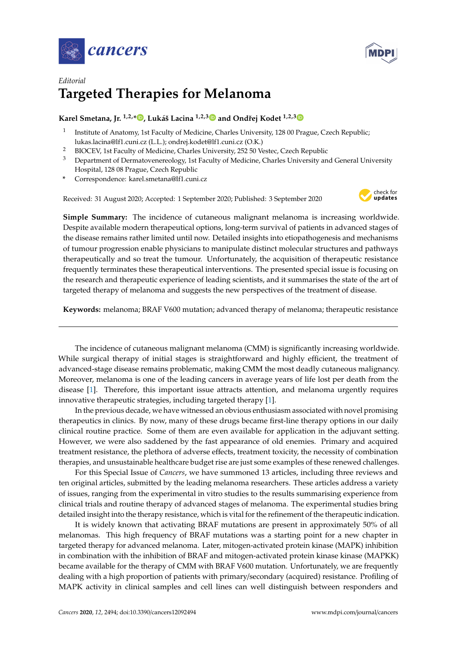



## *Editorial* **Targeted Therapies for Melanoma**

## **Karel Smetana, Jr. 1,2,[\\*](https://orcid.org/0000-0002-7878-8403) , Lukáš Lacina 1,2,[3](https://orcid.org/0000-0002-1750-9933) and Ondˇrej Kodet 1,2,[3](https://orcid.org/0000-0002-1382-2535)**

- 1 Institute of Anatomy, 1st Faculty of Medicine, Charles University, 128 00 Prague, Czech Republic; lukas.lacina@lf1.cuni.cz (L.L.); ondrej.kodet@lf1.cuni.cz (O.K.)
- <sup>2</sup> BIOCEV, 1st Faculty of Medicine, Charles University, 252 50 Vestec, Czech Republic
- <sup>3</sup> Department of Dermatovenereology, 1st Faculty of Medicine, Charles University and General University Hospital, 128 08 Prague, Czech Republic
- **\*** Correspondence: karel.smetana@lf1.cuni.cz

Received: 31 August 2020; Accepted: 1 September 2020; Published: 3 September 2020



**Simple Summary:** The incidence of cutaneous malignant melanoma is increasing worldwide. Despite available modern therapeutical options, long-term survival of patients in advanced stages of the disease remains rather limited until now. Detailed insights into etiopathogenesis and mechanisms of tumour progression enable physicians to manipulate distinct molecular structures and pathways therapeutically and so treat the tumour. Unfortunately, the acquisition of therapeutic resistance frequently terminates these therapeutical interventions. The presented special issue is focusing on the research and therapeutic experience of leading scientists, and it summarises the state of the art of targeted therapy of melanoma and suggests the new perspectives of the treatment of disease.

**Keywords:** melanoma; BRAF V600 mutation; advanced therapy of melanoma; therapeutic resistance

The incidence of cutaneous malignant melanoma (CMM) is significantly increasing worldwide. While surgical therapy of initial stages is straightforward and highly efficient, the treatment of advanced-stage disease remains problematic, making CMM the most deadly cutaneous malignancy. Moreover, melanoma is one of the leading cancers in average years of life lost per death from the disease [\[1\]](#page-2-0). Therefore, this important issue attracts attention, and melanoma urgently requires innovative therapeutic strategies, including targeted therapy [\[1\]](#page-2-0).

In the previous decade, we have witnessed an obvious enthusiasm associated with novel promising therapeutics in clinics. By now, many of these drugs became first-line therapy options in our daily clinical routine practice. Some of them are even available for application in the adjuvant setting. However, we were also saddened by the fast appearance of old enemies. Primary and acquired treatment resistance, the plethora of adverse effects, treatment toxicity, the necessity of combination therapies, and unsustainable healthcare budget rise are just some examples of these renewed challenges.

For this Special Issue of *Cancers*, we have summoned 13 articles, including three reviews and ten original articles, submitted by the leading melanoma researchers. These articles address a variety of issues, ranging from the experimental in vitro studies to the results summarising experience from clinical trials and routine therapy of advanced stages of melanoma. The experimental studies bring detailed insight into the therapy resistance, which is vital for the refinement of the therapeutic indication.

It is widely known that activating BRAF mutations are present in approximately 50% of all melanomas. This high frequency of BRAF mutations was a starting point for a new chapter in targeted therapy for advanced melanoma. Later, mitogen-activated protein kinase (MAPK) inhibition in combination with the inhibition of BRAF and mitogen-activated protein kinase kinase (MAPKK) became available for the therapy of CMM with BRAF V600 mutation. Unfortunately, we are frequently dealing with a high proportion of patients with primary/secondary (acquired) resistance. Profiling of MAPK activity in clinical samples and cell lines can well distinguish between responders and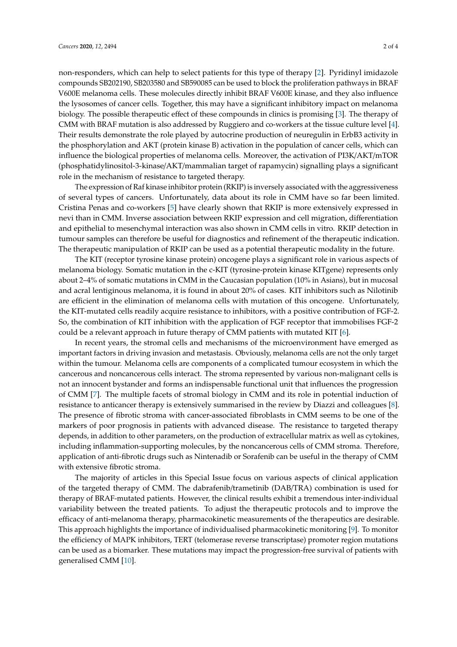non-responders, which can help to select patients for this type of therapy [\[2\]](#page-2-1). Pyridinyl imidazole compounds SB202190, SB203580 and SB590085 can be used to block the proliferation pathways in BRAF V600E melanoma cells. These molecules directly inhibit BRAF V600E kinase, and they also influence the lysosomes of cancer cells. Together, this may have a significant inhibitory impact on melanoma biology. The possible therapeutic effect of these compounds in clinics is promising [\[3\]](#page-2-2). The therapy of CMM with BRAF mutation is also addressed by Ruggiero and co-workers at the tissue culture level [\[4\]](#page-3-0). Their results demonstrate the role played by autocrine production of neuregulin in ErbB3 activity in the phosphorylation and AKT (protein kinase B) activation in the population of cancer cells, which can influence the biological properties of melanoma cells. Moreover, the activation of PI3K/AKT/mTOR (phosphatidylinositol-3-kinase/AKT/mammalian target of rapamycin) signalling plays a significant role in the mechanism of resistance to targeted therapy.

The expression of Raf kinase inhibitor protein (RKIP) is inversely associated with the aggressiveness of several types of cancers. Unfortunately, data about its role in CMM have so far been limited. Cristina Penas and co-workers [\[5\]](#page-3-1) have clearly shown that RKIP is more extensively expressed in nevi than in CMM. Inverse association between RKIP expression and cell migration, differentiation and epithelial to mesenchymal interaction was also shown in CMM cells in vitro. RKIP detection in tumour samples can therefore be useful for diagnostics and refinement of the therapeutic indication. The therapeutic manipulation of RKIP can be used as a potential therapeutic modality in the future.

The KIT (receptor tyrosine kinase protein) oncogene plays a significant role in various aspects of melanoma biology. Somatic mutation in the c-KIT (tyrosine-protein kinase KITgene) represents only about 2–4% of somatic mutations in CMM in the Caucasian population (10% in Asians), but in mucosal and acral lentiginous melanoma, it is found in about 20% of cases. KIT inhibitors such as Nilotinib are efficient in the elimination of melanoma cells with mutation of this oncogene. Unfortunately, the KIT-mutated cells readily acquire resistance to inhibitors, with a positive contribution of FGF-2. So, the combination of KIT inhibition with the application of FGF receptor that immobilises FGF-2 could be a relevant approach in future therapy of CMM patients with mutated KIT [\[6\]](#page-3-2).

In recent years, the stromal cells and mechanisms of the microenvironment have emerged as important factors in driving invasion and metastasis. Obviously, melanoma cells are not the only target within the tumour. Melanoma cells are components of a complicated tumour ecosystem in which the cancerous and noncancerous cells interact. The stroma represented by various non-malignant cells is not an innocent bystander and forms an indispensable functional unit that influences the progression of CMM [\[7\]](#page-3-3). The multiple facets of stromal biology in CMM and its role in potential induction of resistance to anticancer therapy is extensively summarised in the review by Diazzi and colleagues [\[8\]](#page-3-4). The presence of fibrotic stroma with cancer-associated fibroblasts in CMM seems to be one of the markers of poor prognosis in patients with advanced disease. The resistance to targeted therapy depends, in addition to other parameters, on the production of extracellular matrix as well as cytokines, including inflammation-supporting molecules, by the noncancerous cells of CMM stroma. Therefore, application of anti-fibrotic drugs such as Nintenadib or Sorafenib can be useful in the therapy of CMM with extensive fibrotic stroma.

The majority of articles in this Special Issue focus on various aspects of clinical application of the targeted therapy of CMM. The dabrafenib/trametinib (DAB/TRA) combination is used for therapy of BRAF-mutated patients. However, the clinical results exhibit a tremendous inter-individual variability between the treated patients. To adjust the therapeutic protocols and to improve the efficacy of anti-melanoma therapy, pharmacokinetic measurements of the therapeutics are desirable. This approach highlights the importance of individualised pharmacokinetic monitoring [\[9\]](#page-3-5). To monitor the efficiency of MAPK inhibitors, TERT (telomerase reverse transcriptase) promoter region mutations can be used as a biomarker. These mutations may impact the progression-free survival of patients with generalised CMM [\[10\]](#page-3-6).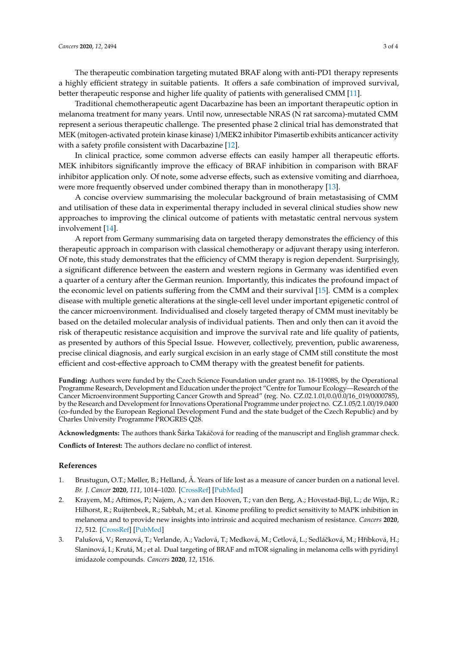The therapeutic combination targeting mutated BRAF along with anti-PD1 therapy represents a highly efficient strategy in suitable patients. It offers a safe combination of improved survival, better therapeutic response and higher life quality of patients with generalised CMM [\[11\]](#page-3-7).

Traditional chemotherapeutic agent Dacarbazine has been an important therapeutic option in melanoma treatment for many years. Until now, unresectable NRAS (N rat sarcoma)-mutated CMM represent a serious therapeutic challenge. The presented phase 2 clinical trial has demonstrated that MEK (mitogen-activated protein kinase kinase) 1/MEK2 inhibitor Pimasertib exhibits anticancer activity with a safety profile consistent with Dacarbazine [\[12\]](#page-3-8).

In clinical practice, some common adverse effects can easily hamper all therapeutic efforts. MEK inhibitors significantly improve the efficacy of BRAF inhibition in comparison with BRAF inhibitor application only. Of note, some adverse effects, such as extensive vomiting and diarrhoea, were more frequently observed under combined therapy than in monotherapy [\[13\]](#page-3-9).

A concise overview summarising the molecular background of brain metastasising of CMM and utilisation of these data in experimental therapy included in several clinical studies show new approaches to improving the clinical outcome of patients with metastatic central nervous system involvement [\[14\]](#page-3-10).

A report from Germany summarising data on targeted therapy demonstrates the efficiency of this therapeutic approach in comparison with classical chemotherapy or adjuvant therapy using interferon. Of note, this study demonstrates that the efficiency of CMM therapy is region dependent. Surprisingly, a significant difference between the eastern and western regions in Germany was identified even a quarter of a century after the German reunion. Importantly, this indicates the profound impact of the economic level on patients suffering from the CMM and their survival [\[15\]](#page-3-11). CMM is a complex disease with multiple genetic alterations at the single-cell level under important epigenetic control of the cancer microenvironment. Individualised and closely targeted therapy of CMM must inevitably be based on the detailed molecular analysis of individual patients. Then and only then can it avoid the risk of therapeutic resistance acquisition and improve the survival rate and life quality of patients, as presented by authors of this Special Issue. However, collectively, prevention, public awareness, precise clinical diagnosis, and early surgical excision in an early stage of CMM still constitute the most efficient and cost-effective approach to CMM therapy with the greatest benefit for patients.

**Funding:** Authors were funded by the Czech Science Foundation under grant no. 18-11908S, by the Operational Programme Research, Development and Education under the project "Centre for Tumour Ecology—Research of the Cancer Microenvironment Supporting Cancer Growth and Spread" (reg. No. CZ.02.1.01/0.0/0.0/16\_019/0000785), by the Research and Development for Innovations Operational Programme under project no. CZ.1.05/2.1.00/19.0400 (co-funded by the European Regional Development Fund and the state budget of the Czech Republic) and by Charles University Programme PROGRES Q28.

**Acknowledgments:** The authors thank Šárka Takáˇcová for reading of the manuscript and English grammar check.

**Conflicts of Interest:** The authors declare no conflict of interest.

## **References**

- <span id="page-2-0"></span>1. Brustugun, O.T.; Møller, B.; Helland, Å. Years of life lost as a measure of cancer burden on a national level. *Br. J. Cancer* **2020**, *111*, 1014–1020. [\[CrossRef\]](http://dx.doi.org/10.1038/bjc.2014.364) [\[PubMed\]](http://www.ncbi.nlm.nih.gov/pubmed/24983370)
- <span id="page-2-1"></span>2. Krayem, M.; Aftimos, P.; Najem, A.; van den Hooven, T.; van den Berg, A.; Hovestad-Bijl, L.; de Wijn, R.; Hilhorst, R.; Ruijtenbeek, R.; Sabbah, M.; et al. Kinome profiling to predict sensitivity to MAPK inhibition in melanoma and to provide new insights into intrinsic and acquired mechanism of resistance. *Cancers* **2020**, *12*, 512. [\[CrossRef\]](http://dx.doi.org/10.3390/cancers12020512) [\[PubMed\]](http://www.ncbi.nlm.nih.gov/pubmed/32098410)
- <span id="page-2-2"></span>3. Palušová, V.; Renzová, T.; Verlande, A.; Vaclová, T.; Medková, M.; Cetlová, L.; Sedláčková, M.; Hříbková, H.; Slaninová, I.; Krutá, M.; et al. Dual targeting of BRAF and mTOR signaling in melanoma cells with pyridinyl imidazole compounds. *Cancers* **2020**, *12*, 1516.